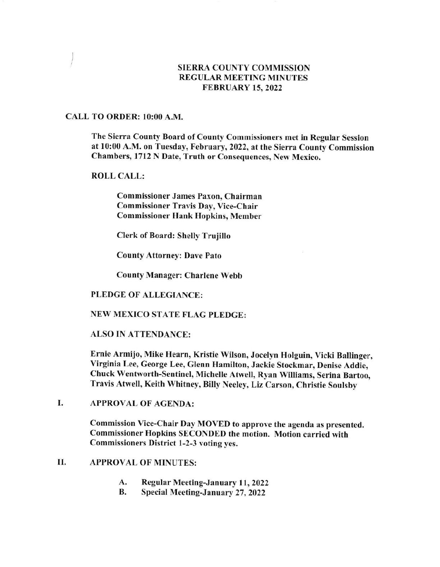# SIERRA COUNTY COMMISSION REGULAR MEETING MINUTES FEBRUARY 15,2022

# CALL TO ORDER: 10:00 A.M.

)

The Sierra County Board of County Commissioners met in Regular Session at 10:00 A.M. on Tuesday, February, 2022, at the Sierra County Commission Chambers, 1712 N Date, Truth or Consequences, New Mexico,

ROLL CALL:

Commissioner James Paxon, Chairman Commissioner Travis Day, Vice-Chair Commissioner Hank Hopkins, Member

Clerk of Board: Shelly Trujillo

County Attorney: Dave Pato

County Manager: Charlene Webb

### PLEDGE OF ALLEGIANCE:

## NEW MEXICO STATE FLAG PLEDGE:

ALSO IN ATTENDANCE:

Ernie Armijo, Mike Hearn, Kristie WiIson, Jocelyn Holguin, Vicki Ballinger, Virginia Lee, George Lee, Glenn Hamilton, Jackie Stockmar, Denise Addie, Chuck Wentworth-Sentinel, Michelte Atwetl, Ryan Williams, Serina Bartoo, Travis Atwell, Keith Whitney, Billy Neeley, Liz Carson, Christie Soulsby

## I. APPROVAL OF AGENDA:

Commission Vice-Chair Day MOVED to approve the agenda as presented. Commissioner Hopkins SECONDED the motion. Motion carried with Commissioners District l-2-3 voting yes.

### APPROVAL OF MINUTES: II

- A. Regular Meeting-January 11, 2022<br>B. Special Meeting-January 27, 2022
-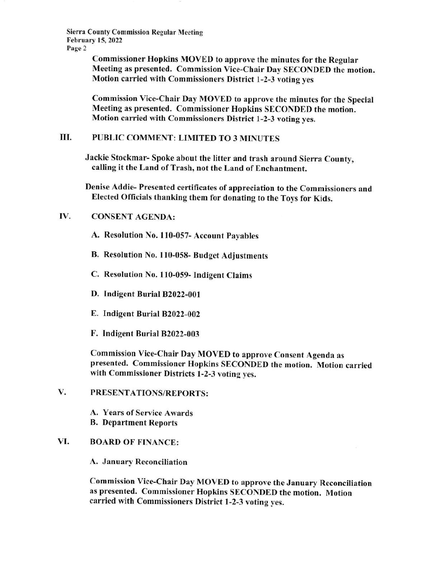Sierra County Commission Regular Meeting February 15, 2022 Page 2

> Commissioner Hopkins MOVED to approve the minutes for the Regular Meeting as presented. Commission Vice-Chair Day SECONDED the motion. Motion carried with Commissioners District l-2-3 voting yes

> Commission Vice-Chair Day MOVED to approve the minutes for the Special Meeting as presented. Commissioner Hopkins SECONDED the motion. Motion carried with Commissioners District 1-2-3 voting yes.

# III. PUBLIC COMMENT: LIMITED TO 3 MINUTES

Jackie Stockmar- Spoke about the litter and trash around Sierra County, calling it the Land of Trash, not the Land of Enchantment.

Denise Addie- Presented certificates of appreeiation to the Commissioners and Elected Officials thanking them for donating to the Toys for Kids.

# IV. CONSENT AGENDA:

A. Resolution No. 110-057- Account Payables

- B. Resolution No. 110-058- Budget Adjustments
- C. Resolution No. 110-059- Indigent Claims
- D. Indigent Burial 82022-001
- E. Indigent Burial 82022-002
- F. Indigent Burial B2022-003

Commission Vice-Chair Day MOVED to approve Consent Agenda as presented. Commissioner Hopkins SECONDED the motion. Motion carried with Commissioner Districts 1-2-3 voting yes.

PRESENTATIONS/REPORTS: V.

> A. Years of Service Awards B. Department Reports

## VI. BOARD OF FINANCE:

A. January Reconciliation

Commission Yice-Chair Day MOVED to approve the January Reconciliation as presented. Commissioner Hopkins SECONDED the motion, Motion carried with Commissioners District l-2-3 voting yes.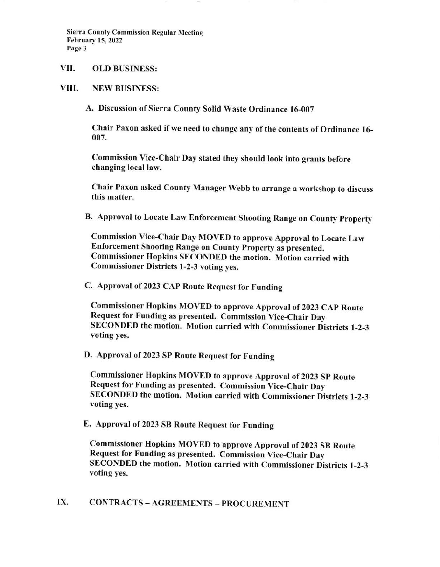Sierra County Commission Regular Meeting February 15,2022 Page 3

### VII. OLD BUSINESS:

#### VIII. NEW BUSINESS:

A. Discussion of Sierra County Solid Waste Ordinance 16-007

Chair Paxon asked if we need to change any of the contents of Ordinance 16-007.

Commission Vice-Chair Day stated they should look into grants before changing local law.

Chair Paxon asked County Manager Webb to arrange a workshop to discuss this matter.

B. Approval to Locate Law Enforcement Shooting Range on County property

Commission Vice-Chair Day MOVED to approve Approval to Locate Law Enforcement Shooting Range on County Property as presented. Commissioner Hopkins SECONDED the motion. Motion carried with Commissioner Districts 1-2-3 voting yes.

C. Approval of 2023 CAP Route Request for Funding

Commissioner Hopkins MOVED to approve Approval of 2023 CAp Route Request for Funding as presented. Commission Vice-Chair Day SECONDED the motion. Motion carried with Commissioner Districts l-2-3 voting yes.

D. Approval of 2023 SP Route Request for Funding

Commissioner Hopkins MOVED to approve Approval of 2023 Sp Route Request for Funding as presented. Commission Vice-Chair Day SECONDED the motion. Motion carried with Commissioner Districts l-2-3 voting yes.

E. Approval of 2023 SB Route Request for Funding

Commissioner Hopkins MOVED to approve Approval of 2023 SB Route Request for Funding as presented. Commission Vice-Chair Day SECONDED the motion. Motion carried with Commissioner Districts l-2-3 voting yes.

# IX. CONTRACTS - AGREEMENTS - PROCUREMENT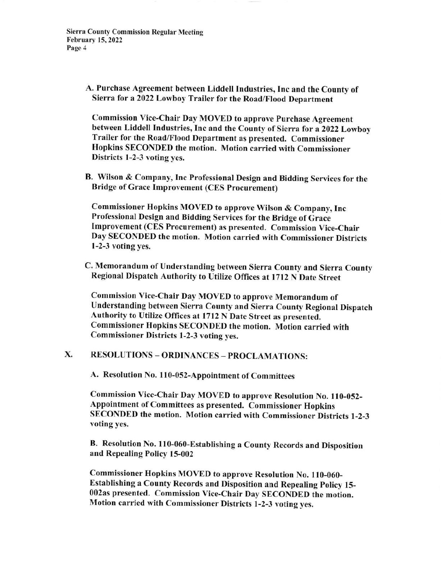Sierra County Commission Regular Meeting February 15, 2022 Page 4

> A. Purchase Agreement between Liddell lndustries, Inc and the County of Sierra for a 2022 Lowboy Trailer for the Road/Flood Department

Commission Vice-Chair Day MOVED to approve purchase Agreement between Liddell Industries, Inc and the County of Sierra for a 2022 Lowboy Trailer for the Road/Flood Department as presented. Commissioner Hopkins SECONDED the motion. Motion carried with Commissioner Districts l-2-3 voting yes.

B. Wilson & Company, Inc Professional Design and Bidding Services for the Bridge of Grace Improvement (CES Procurement)

Commissioner Hopkins MOVED to approve Wilson & Company, Inc Professional Design and Bidding Services for the Bridge of Grace Improvement (CES Procurement) as presented. Commission Vice-Chair Day SECONDED the motion. Motion carried with Commissioner Districts l-2-3 voting yes.

C. Memorandum of Understanding between Sierra County and Sierra County Regional Dispatch Authority to Utilize Offices at 1712 N Date Street

Commission Vice-Chair Day MOVED to approve Memorandum of Understanding between Sierra County and Sierra County Regional Dispatch Authority to Utilize Offices at 1712 N Date Street as presented. Commissioner Hopkins SECONDED the motion. Motion carried with Commissioner Districts 1-2-3 voting yes.

# X. RESOLUTIONS - ORDINANCES - PROCLAMATIONS:

A. Resolution No. 110-052-Appointment of Committees

Commission Vice-Chair Day MOVED to approve Resolution No. 110-052-Appointment of Committees as presented. Commissioner Hopkins SECONDED the motion. Motion carried with Commissioner Districts l-2-3 voting yes.

B. Resolution No. 110-060-Establishing a County Records and Disposition and Repealing Policy l5-002

Commissioner Hopkins MOVED to approve Resolution No. ll0-060- Establishing a County Records and Disposition and Repealing policy l5- 002as presented. Commission Vice-Chair Day SECONDED the motion. Motion carried with Commissioner Districts l-2-3 voting yes.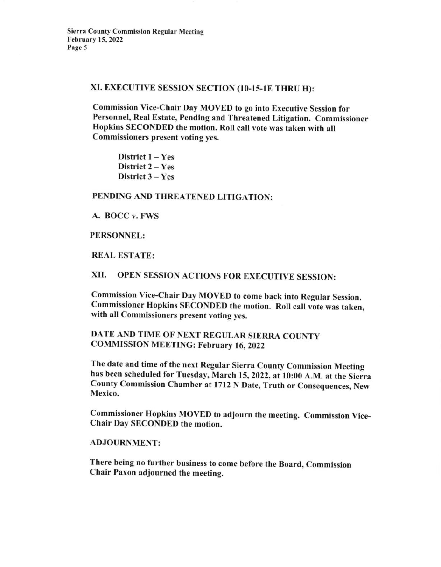## XI. EXECUTIVE SESSION SECTION (10-15-1E THRU H):

commission vice-chair Day MovED to go into Executive Session for Personnel, Real Estate, Pending and Threatened Litigation. Commissioner Hopkins SECONDED the motion. Roll call vote was taken with ail Commissioners present voting yes.

District  $1 - Yes$ District 2 - Yes District 3 - Yes

# PENDING AND THREATENED LITIGATION:

## A. BOCC v. FWS

## PERSONNEL:

## REAL ESTATE:

# XII. OPEN SESSION ACTIONS FOR EXECUTIVE SESSION:

commission vice-Chair Day MovED to come back into Regular session. commissioner Hopkins SECoNDED the motion. Roll call vote was taken, with all Commissioners present voting yes.

# DATE AND TIME OF NEXT REGULAR SIERRA COUNTY COMMISSION MEETING: February 16, Z0Z2

The date and time of the next Regular Sierra County Commission Meeting has been scheduled for Tuesday, March 15, 2022, at 10:00 A.M. at the Sierra county commission chamber at l7l2 N Date, Truth or Consequences, New Mexico.

commissioner Hopkins MovED to adjourn the meeting. commission vice-Chair Day SECONDED the motion.

## ADJOURNMENT:

There being no further business to come before the Board, commission Chair Paxon adjourned the meeting.